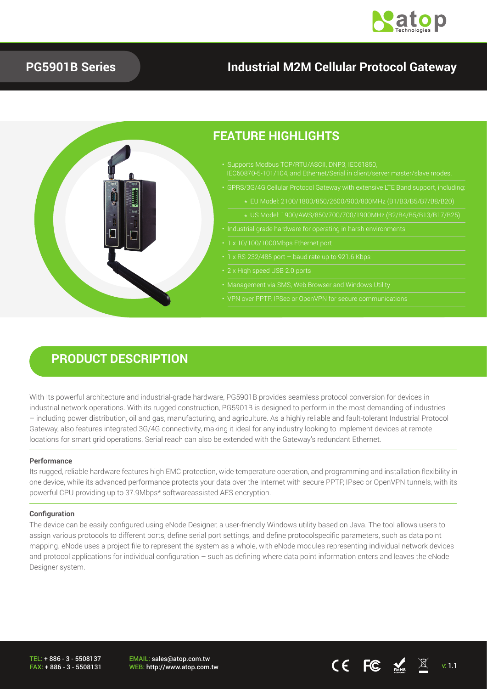

### **PG5901B Series**

## **Industrial M2M Cellular Protocol Gateway**



### **PRODUCT DESCRIPTION**

With Its powerful architecture and industrial-grade hardware, PG5901B provides seamless protocol conversion for devices in industrial network operations. With its rugged construction, PG5901B is designed to perform in the most demanding of industries – including power distribution, oil and gas, manufacturing, and agriculture. As a highly reliable and fault-tolerant Industrial Protocol Gateway, also features integrated 3G/4G connectivity, making it ideal for any industry looking to implement devices at remote locations for smart grid operations. Serial reach can also be extended with the Gateway's redundant Ethernet.

#### **Performance**

Its rugged, reliable hardware features high EMC protection, wide temperature operation, and programming and installation flexibility in one device, while its advanced performance protects your data over the Internet with secure PPTP, IPsec or OpenVPN tunnels, with its powerful CPU providing up to 37.9Mbps\* softwareassisted AES encryption.

#### **Configuration**

The device can be easily configured using eNode Designer, a user-friendly Windows utility based on Java. The tool allows users to assign various protocols to different ports, define serial port settings, and define protocolspecific parameters, such as data point mapping. eNode uses a project file to represent the system as a whole, with eNode modules representing individual network devices and protocol applications for individual configuration – such as defining where data point information enters and leaves the eNode Designer system.

TEL: + 886 - 3 - 5508137 FAX: + 886 - 3 - 5508131 EMAIL: sales@atop.com.tw WEB: http://www.atop.com.tw **views**  $\begin{bmatrix} 1 & 0 \end{bmatrix}$  **views**  $\begin{bmatrix} 2 & 0 \end{bmatrix}$  **views**  $\begin{bmatrix} 3 & 0 \end{bmatrix}$  **v**  $\begin{bmatrix} 1 & 1 \end{bmatrix}$  **v**  $\begin{bmatrix} 1 & 1 \end{bmatrix}$  **v**  $\begin{bmatrix} 1 & 1 \end{bmatrix}$  **v**  $\begin{bmatrix} 1 & 1 \end{bmatrix}$  **v**  $\begin{bmatrix} 1$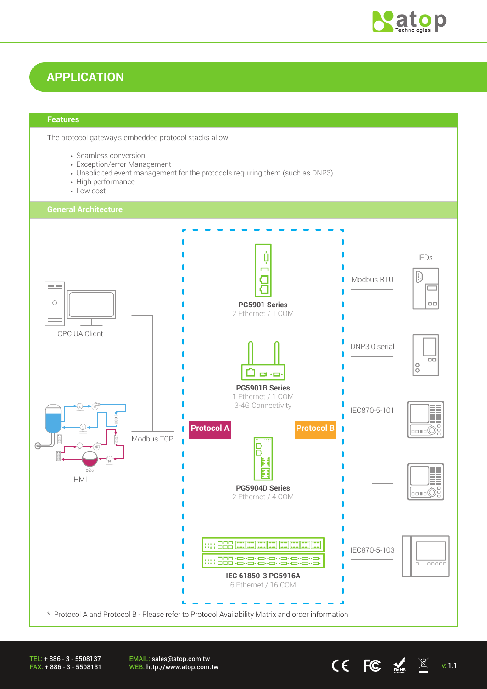

### **APPLICATION**

#### **Features**

The protocol gateway's embedded protocol stacks allow

- Seamless conversion
- Exception/error Management
- Unsolicited event management for the protocols requiring them (such as DNP3)
- High performance
- Low cost

#### **General Architecture**



TEL: + 886 - 3 - 5508137 FAX: + 886 - 3 - 5508131 EMAIL: sales@atop.com.tw **EWALE:** Sales water com.tw v: 1.1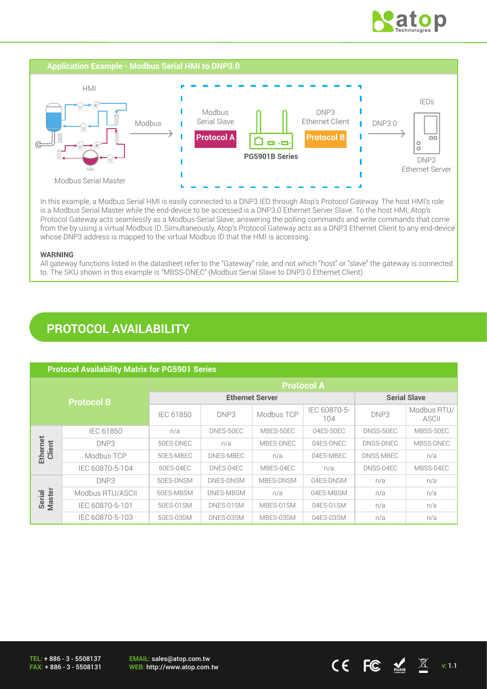



In this example, a Modbus Serial HMI is easily connected to a DNP3 IED through Atop's Protocol Gateway. The host HMI's role is a Modbus Serial Master while the end-device to be accessed is a DNP3.0 Ethernet Server Slave. To the host HMI, Atop's Protocol Gateway acts seamlessly as a Modbus Serial Slave, answering the polling commands and write commands that come from the by using a virtual Modbus ID. Simultaneously, Atop's Protocol Gateway acts as a DNP3 Ethernet Client to any end-device whose DNP3 address is mapped to the virtual Modbus ID that the HMI is accessing.

#### **WARNING**

All gateway functions listed in the datasheet refer to the "Gateway" role, and not which "host" or "slave" the gateway is connected to. The SKU shown in this example is "MBSS-DNEC" (Modbus Serial Slave to DNP3.0 Ethernet Client).

### **PROTOCOL AVAILABILITY**

| <b>Protocol Availability Matrix for PG5901 Series</b> |                  |                        |                  |            |                     |           |                      |
|-------------------------------------------------------|------------------|------------------------|------------------|------------|---------------------|-----------|----------------------|
| <b>Protocol B</b>                                     |                  | <b>Protocol A</b>      |                  |            |                     |           |                      |
|                                                       |                  | <b>Ethernet Server</b> |                  |            | <b>Serial Slave</b> |           |                      |
|                                                       |                  | IEC 61850              | DNP3             | Modbus TCP | IEC 60870-5-<br>104 | DNP3      | Modbus RTU/<br>ASCII |
|                                                       | IEC 61850        | n/a                    | DNES-50EC        | MBES-50EC  | 04ES-50EC           | DNSS-50EC | MBSS-50EC            |
| Ethernet<br>Client                                    | DNP3             | 50ES-DNEC              | n/a              | MBES-DNEC  | 04ES-DNEC           | DNSS-DNEC | MBSS-DNEC            |
|                                                       | Modbus TCP       | 50ES-MBEC              | DNES-MBEC        | n/a        | 04ES-MBEC           | DNSS-MBEC | n/a                  |
|                                                       | IEC 60870-5-104  | 50ES-04EC              | DNES-04EC        | MBES-04EC  | n/a                 | DNSS-04EC | MBSS-04EC            |
| <b>Master</b><br>Serial                               | DNP3             | 50ES-DNSM              | <b>DNES-DNSM</b> | MBES-DNSM  | 04ES-DNSM           | n/a       | n/a                  |
|                                                       | Modbus RTU/ASCII | 50ES-MBSM              | DNES-MBSM        | n/a        | 04ES-MBSM           | n/a       | n/a                  |
|                                                       | IEC 60870-5-101  | 50ES-01SM              | DNES-01SM        | MBES-01SM  | 04ES-01SM           | n/a       | n/a                  |
|                                                       | IEC 60870-5-103  | 50ES-03SM              | DNES-03SM        | MBES-03SM  | 04ES-03SM           | n/a       | n/a                  |

TEL: + 886 - 3 - 5508137 FAX: + 886 - 3 - 5508131 EMAIL: sales@atop.com.tw EWAIL. Sales@atop.com.tw<br>WEB: http://www.atop.com.tw v: 1.1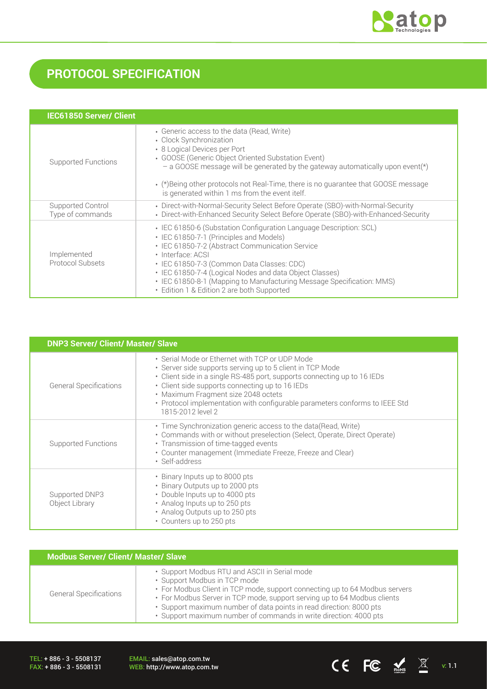

# **PROTOCOL SPECIFICATION**

| <b>IEC61850 Server/ Client</b>        |                                                                                                                                                                                                                                                                                                                                                                                                                       |
|---------------------------------------|-----------------------------------------------------------------------------------------------------------------------------------------------------------------------------------------------------------------------------------------------------------------------------------------------------------------------------------------------------------------------------------------------------------------------|
| <b>Supported Functions</b>            | • Generic access to the data (Read, Write)<br>• Clock Synchronization<br>• 8 Logical Devices per Port<br>• GOOSE (Generic Object Oriented Substation Event)<br>$-$ a GOOSE message will be generated by the gateway automatically upon event(*)<br>• (*) Being other protocols not Real-Time, there is no quarantee that GOOSE message<br>is generated within 1 ms from the event itelf.                              |
| Supported Control<br>Type of commands | • Direct-with-Normal-Security Select Before Operate (SBO)-with-Normal-Security<br>• Direct-with-Enhanced Security Select Before Operate (SBO)-with-Enhanced-Security                                                                                                                                                                                                                                                  |
| Implemented<br>Protocol Subsets       | • IEC 61850-6 (Substation Configuration Language Description: SCL)<br>• IEC 61850-7-1 (Principles and Models)<br>• IEC 61850-7-2 (Abstract Communication Service<br>· Interface: ACSI<br>• IEC 61850-7-3 (Common Data Classes: CDC)<br>• IEC 61850-7-4 (Logical Nodes and data Object Classes)<br>• IEC 61850-8-1 (Mapping to Manufacturing Message Specification: MMS)<br>• Edition 1 & Edition 2 are both Supported |

| <b>DNP3 Server/ Client/ Master/ Slave</b> |                                                                                                                                                                                                                                                                                                                                                                                       |  |  |
|-------------------------------------------|---------------------------------------------------------------------------------------------------------------------------------------------------------------------------------------------------------------------------------------------------------------------------------------------------------------------------------------------------------------------------------------|--|--|
| <b>General Specifications</b>             | • Serial Mode or Ethernet with TCP or UDP Mode<br>• Server side supports serving up to 5 client in TCP Mode<br>• Client side in a single RS-485 port, supports connecting up to 16 IEDs<br>• Client side supports connecting up to 16 IEDs<br>• Maximum Fragment size 2048 octets<br>• Protocol implementation with configurable parameters conforms to IEEE Std<br>1815-2012 level 2 |  |  |
| <b>Supported Functions</b>                | • Time Synchronization generic access to the data (Read, Write)<br>• Commands with or without preselection (Select, Operate, Direct Operate)<br>• Transmission of time-tagged events<br>• Counter management (Immediate Freeze, Freeze and Clear)<br>· Self-address                                                                                                                   |  |  |
| Supported DNP3<br>Object Library          | • Binary Inputs up to 8000 pts<br>• Binary Outputs up to 2000 pts<br>• Double Inputs up to 4000 pts<br>• Analog Inputs up to 250 pts<br>• Analog Outputs up to 250 pts<br>• Counters up to 250 pts                                                                                                                                                                                    |  |  |

| <b>Modbus Server/ Client/ Master/ Slave</b> |                                                                                                                                                                                                                                                                                                                                                                                      |  |  |
|---------------------------------------------|--------------------------------------------------------------------------------------------------------------------------------------------------------------------------------------------------------------------------------------------------------------------------------------------------------------------------------------------------------------------------------------|--|--|
| <b>General Specifications</b>               | • Support Modbus RTU and ASCII in Serial mode<br>• Support Modbus in TCP mode<br>• For Modbus Client in TCP mode, support connecting up to 64 Modbus servers<br>• For Modbus Server in TCP mode, support serving up to 64 Modbus clients<br>· Support maximum number of data points in read direction: 8000 pts<br>· Support maximum number of commands in write direction: 4000 pts |  |  |

TEL: + 886 - 3 - 5508137 FAX: + 886 - 3 - 5508131

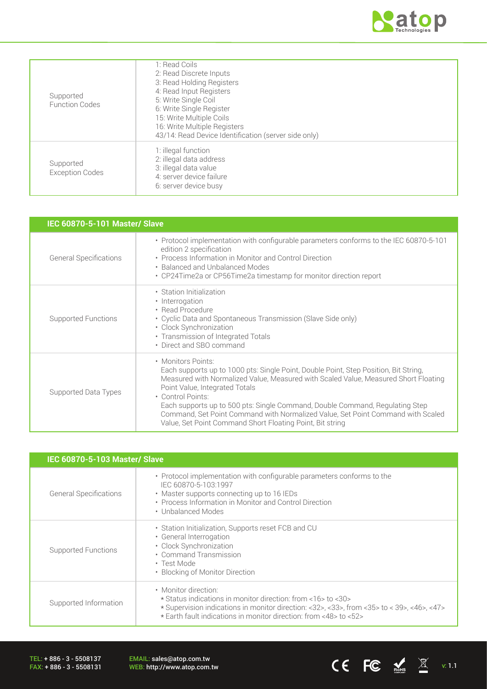

CE FC  $\underset{\text{NHS}}{\blacktriangle}$   $\mathbb{X}$  v: 1.1

| Supported<br><b>Function Codes</b>  | 1: Read Coils<br>2: Read Discrete Inputs<br>3: Read Holding Registers<br>4: Read Input Registers<br>5: Write Single Coil<br>6: Write Single Register<br>15: Write Multiple Coils<br>16: Write Multiple Registers<br>43/14: Read Device Identification (server side only) |
|-------------------------------------|--------------------------------------------------------------------------------------------------------------------------------------------------------------------------------------------------------------------------------------------------------------------------|
| Supported<br><b>Exception Codes</b> | 1: illegal function<br>2: illegal data address<br>3: illegal data value<br>4: server device failure<br>6: server device busy                                                                                                                                             |

| <b>IEC 60870-5-101 Master/ Slave</b> |                                                                                                                                                                                                                                                                                                                                                                                                                                                                                          |  |  |
|--------------------------------------|------------------------------------------------------------------------------------------------------------------------------------------------------------------------------------------------------------------------------------------------------------------------------------------------------------------------------------------------------------------------------------------------------------------------------------------------------------------------------------------|--|--|
| <b>General Specifications</b>        | • Protocol implementation with configurable parameters conforms to the IEC 60870-5-101<br>edition 2 specification<br>• Process Information in Monitor and Control Direction<br>• Balanced and Unbalanced Modes<br>• CP24Time2a or CP56Time2a timestamp for monitor direction report                                                                                                                                                                                                      |  |  |
| Supported Functions                  | • Station Initialization<br>• Interrogation<br>· Read Procedure<br>• Cyclic Data and Spontaneous Transmission (Slave Side only)<br>• Clock Synchronization<br>• Transmission of Integrated Totals<br>• Direct and SBO command                                                                                                                                                                                                                                                            |  |  |
| Supported Data Types                 | • Monitors Points:<br>Each supports up to 1000 pts: Single Point, Double Point, Step Position, Bit String,<br>Measured with Normalized Value, Measured with Scaled Value, Measured Short Floating<br>Point Value, Integrated Totals<br>• Control Points:<br>Each supports up to 500 pts: Single Command, Double Command, Regulating Step<br>Command, Set Point Command with Normalized Value, Set Point Command with Scaled<br>Value, Set Point Command Short Floating Point, Bit string |  |  |

| IEC 60870-5-103 Master/ Slave |                                                                                                                                                                                                                                                               |  |  |
|-------------------------------|---------------------------------------------------------------------------------------------------------------------------------------------------------------------------------------------------------------------------------------------------------------|--|--|
| <b>General Specifications</b> | • Protocol implementation with configurable parameters conforms to the<br>IEC 60870-5-103:1997<br>• Master supports connecting up to 16 IEDs<br>• Process Information in Monitor and Control Direction<br>• Unbalanced Modes                                  |  |  |
| Supported Functions           | • Station Initialization, Supports reset FCB and CU<br>• General Interrogation<br>• Clock Synchronization<br>• Command Transmission<br>• Test Mode<br>• Blocking of Monitor Direction                                                                         |  |  |
| Supported Information         | • Monitor direction:<br>* Status indications in monitor direction: from <16> to <30><br>$\star$ Supervision indications in monitor direction: <32>, <33>, from <35> to < 39>, <46>, <47><br>* Earth fault indications in monitor direction: from <48> to <52> |  |  |

TEL: + 886 - 3 - 5508137 FAX: + 886 - 3 - 5508131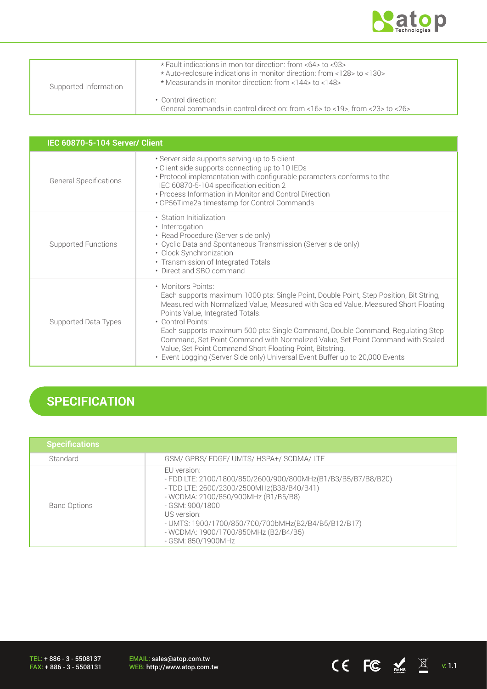

| Supported Information | * Fault indications in monitor direction: from <64> to <93><br>* Auto-reclosure indications in monitor direction: from <128> to <130><br>* Measurands in monitor direction: from <144> to <148> |  |
|-----------------------|-------------------------------------------------------------------------------------------------------------------------------------------------------------------------------------------------|--|
|                       | • Control direction:<br>General commands in control direction: from $<$ 16 $>$ to $<$ 19 $>$ , from $<$ 23 $>$ to $<$ 26 $>$                                                                    |  |

| IEC 60870-5-104 Server/ Client |                                                                                                                                                                                                                                                                                                                                                                                                                                                                                                                                                                                 |  |  |  |
|--------------------------------|---------------------------------------------------------------------------------------------------------------------------------------------------------------------------------------------------------------------------------------------------------------------------------------------------------------------------------------------------------------------------------------------------------------------------------------------------------------------------------------------------------------------------------------------------------------------------------|--|--|--|
| <b>General Specifications</b>  | · Server side supports serving up to 5 client<br>· Client side supports connecting up to 10 IEDs<br>• Protocol implementation with configurable parameters conforms to the<br>IEC 60870-5-104 specification edition 2<br>• Process Information in Monitor and Control Direction<br>• CP56Time2a timestamp for Control Commands                                                                                                                                                                                                                                                  |  |  |  |
| Supported Functions            | • Station Initialization<br>• Interrogation<br>• Read Procedure (Server side only)<br>• Cyclic Data and Spontaneous Transmission (Server side only)<br>• Clock Synchronization<br>• Transmission of Integrated Totals<br>• Direct and SBO command                                                                                                                                                                                                                                                                                                                               |  |  |  |
| Supported Data Types           | • Monitors Points:<br>Each supports maximum 1000 pts: Single Point, Double Point, Step Position, Bit String,<br>Measured with Normalized Value, Measured with Scaled Value, Measured Short Floating<br>Points Value, Integrated Totals.<br>• Control Points:<br>Each supports maximum 500 pts: Single Command, Double Command, Regulating Step<br>Command, Set Point Command with Normalized Value, Set Point Command with Scaled<br>Value, Set Point Command Short Floating Point, Bitstring.<br>• Event Logging (Server Side only) Universal Event Buffer up to 20,000 Events |  |  |  |

# **SPECIFICATION**

| <b>Specifications</b> |                                                                                                                                                                                                                                                                                                                        |
|-----------------------|------------------------------------------------------------------------------------------------------------------------------------------------------------------------------------------------------------------------------------------------------------------------------------------------------------------------|
| Standard              | GSM/ GPRS/ EDGE/ UMTS/ HSPA+/ SCDMA/ LTE                                                                                                                                                                                                                                                                               |
| <b>Band Options</b>   | EU version:<br>- FDD LTE: 2100/1800/850/2600/900/800MHz(B1/B3/B5/B7/B8/B20)<br>- TDD LTE: 2600/2300/2500MHz(B38/B40/B41)<br>- WCDMA: 2100/850/900MHz (B1/B5/B8)<br>- GSM: 900/1800<br>US version:<br>- UMTS: 1900/1700/850/700/700bMHz(B2/B4/B5/B12/B17)<br>- WCDMA: 1900/1700/850MHz (B2/B4/B5)<br>- GSM: 850/1900MHz |

TEL: + 886 - 3 - 5508137 FAX: + 886 - 3 - 5508131

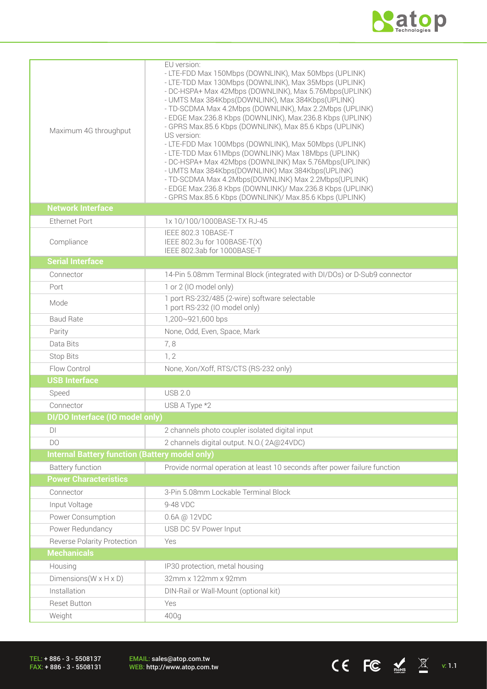

CE FC  $\underset{\text{NHS}}{\blacktriangle}$   $\mathbb{X}$  v: 1.1

| Maximum 4G throughput                                 | EU version:<br>- LTE-FDD Max 150Mbps (DOWNLINK), Max 50Mbps (UPLINK)<br>- LTE-TDD Max 130Mbps (DOWNLINK), Max 35Mbps (UPLINK)<br>- DC-HSPA+ Max 42Mbps (DOWNLINK), Max 5.76Mbps(UPLINK)<br>- UMTS Max 384Kbps(DOWNLINK), Max 384Kbps(UPLINK)<br>- TD-SCDMA Max 4.2Mbps (DOWNLINK), Max 2.2Mbps (UPLINK)<br>- EDGE Max.236.8 Kbps (DOWNLINK), Max.236.8 Kbps (UPLINK)<br>- GPRS Max.85.6 Kbps (DOWNLINK), Max 85.6 Kbps (UPLINK)<br>US version:<br>- LTE-FDD Max 100Mbps (DOWNLINK), Max 50Mbps (UPLINK)<br>- LTE-TDD Max 61Mbps (DOWNLINK) Max 18Mbps (UPLINK)<br>- DC-HSPA+ Max 42Mbps (DOWNLINK) Max 5.76Mbps (UPLINK)<br>- UMTS Max 384Kbps(DOWNLINK) Max 384Kbps(UPLINK)<br>- TD-SCDMA Max 4.2Mbps(DOWNLINK) Max 2.2Mbps(UPLINK)<br>- EDGE Max.236.8 Kbps (DOWNLINK)/ Max.236.8 Kbps (UPLINK)<br>- GPRS Max.85.6 Kbps (DOWNLINK)/ Max.85.6 Kbps (UPLINK) |
|-------------------------------------------------------|--------------------------------------------------------------------------------------------------------------------------------------------------------------------------------------------------------------------------------------------------------------------------------------------------------------------------------------------------------------------------------------------------------------------------------------------------------------------------------------------------------------------------------------------------------------------------------------------------------------------------------------------------------------------------------------------------------------------------------------------------------------------------------------------------------------------------------------------------------------|
| <b>Network Interface</b>                              |                                                                                                                                                                                                                                                                                                                                                                                                                                                                                                                                                                                                                                                                                                                                                                                                                                                              |
| <b>Ethernet Port</b>                                  | 1x 10/100/1000BASE-TX RJ-45                                                                                                                                                                                                                                                                                                                                                                                                                                                                                                                                                                                                                                                                                                                                                                                                                                  |
| Compliance                                            | IEEE 802.3 10BASE-T<br>IEEE 802.3u for 100BASE-T(X)<br>IEEE 802.3ab for 1000BASE-T                                                                                                                                                                                                                                                                                                                                                                                                                                                                                                                                                                                                                                                                                                                                                                           |
| <b>Serial Interface</b>                               |                                                                                                                                                                                                                                                                                                                                                                                                                                                                                                                                                                                                                                                                                                                                                                                                                                                              |
| Connector                                             | 14-Pin 5.08mm Terminal Block (integrated with DI/DOs) or D-Sub9 connector                                                                                                                                                                                                                                                                                                                                                                                                                                                                                                                                                                                                                                                                                                                                                                                    |
| Port                                                  | 1 or 2 (IO model only)                                                                                                                                                                                                                                                                                                                                                                                                                                                                                                                                                                                                                                                                                                                                                                                                                                       |
| Mode                                                  | 1 port RS-232/485 (2-wire) software selectable<br>1 port RS-232 (IO model only)                                                                                                                                                                                                                                                                                                                                                                                                                                                                                                                                                                                                                                                                                                                                                                              |
| <b>Baud Rate</b>                                      | 1,200~921,600 bps                                                                                                                                                                                                                                                                                                                                                                                                                                                                                                                                                                                                                                                                                                                                                                                                                                            |
| Parity                                                | None, Odd, Even, Space, Mark                                                                                                                                                                                                                                                                                                                                                                                                                                                                                                                                                                                                                                                                                                                                                                                                                                 |
| Data Bits                                             | 7,8                                                                                                                                                                                                                                                                                                                                                                                                                                                                                                                                                                                                                                                                                                                                                                                                                                                          |
| Stop Bits                                             | 1, 2                                                                                                                                                                                                                                                                                                                                                                                                                                                                                                                                                                                                                                                                                                                                                                                                                                                         |
| Flow Control                                          | None, Xon/Xoff, RTS/CTS (RS-232 only)                                                                                                                                                                                                                                                                                                                                                                                                                                                                                                                                                                                                                                                                                                                                                                                                                        |
| <b>USB Interface</b>                                  |                                                                                                                                                                                                                                                                                                                                                                                                                                                                                                                                                                                                                                                                                                                                                                                                                                                              |
| Speed                                                 | <b>USB 2.0</b>                                                                                                                                                                                                                                                                                                                                                                                                                                                                                                                                                                                                                                                                                                                                                                                                                                               |
| Connector                                             | USB A Type *2                                                                                                                                                                                                                                                                                                                                                                                                                                                                                                                                                                                                                                                                                                                                                                                                                                                |
| DI/DO Interface (IO model only)                       |                                                                                                                                                                                                                                                                                                                                                                                                                                                                                                                                                                                                                                                                                                                                                                                                                                                              |
| DI                                                    | 2 channels photo coupler isolated digital input                                                                                                                                                                                                                                                                                                                                                                                                                                                                                                                                                                                                                                                                                                                                                                                                              |
| DO                                                    | 2 channels digital output. N.O.(2A@24VDC)                                                                                                                                                                                                                                                                                                                                                                                                                                                                                                                                                                                                                                                                                                                                                                                                                    |
| <b>Internal Battery function (Battery model only)</b> |                                                                                                                                                                                                                                                                                                                                                                                                                                                                                                                                                                                                                                                                                                                                                                                                                                                              |
| <b>Battery function</b>                               | Provide normal operation at least 10 seconds after power failure function                                                                                                                                                                                                                                                                                                                                                                                                                                                                                                                                                                                                                                                                                                                                                                                    |
| <b>Power Characteristics</b>                          |                                                                                                                                                                                                                                                                                                                                                                                                                                                                                                                                                                                                                                                                                                                                                                                                                                                              |
| Connector                                             | 3-Pin 5.08mm Lockable Terminal Block                                                                                                                                                                                                                                                                                                                                                                                                                                                                                                                                                                                                                                                                                                                                                                                                                         |
| Input Voltage                                         | 9-48 VDC                                                                                                                                                                                                                                                                                                                                                                                                                                                                                                                                                                                                                                                                                                                                                                                                                                                     |
| Power Consumption                                     | 0.6A @ 12VDC                                                                                                                                                                                                                                                                                                                                                                                                                                                                                                                                                                                                                                                                                                                                                                                                                                                 |
| Power Redundancy                                      | USB DC 5V Power Input                                                                                                                                                                                                                                                                                                                                                                                                                                                                                                                                                                                                                                                                                                                                                                                                                                        |
| Reverse Polarity Protection                           | Yes                                                                                                                                                                                                                                                                                                                                                                                                                                                                                                                                                                                                                                                                                                                                                                                                                                                          |
| <b>Mechanicals</b>                                    |                                                                                                                                                                                                                                                                                                                                                                                                                                                                                                                                                                                                                                                                                                                                                                                                                                                              |
| Housing                                               | IP30 protection, metal housing                                                                                                                                                                                                                                                                                                                                                                                                                                                                                                                                                                                                                                                                                                                                                                                                                               |
| Dimensions ( $W \times H \times D$ )                  | 32mm x 122mm x 92mm                                                                                                                                                                                                                                                                                                                                                                                                                                                                                                                                                                                                                                                                                                                                                                                                                                          |
| Installation                                          | DIN-Rail or Wall-Mount (optional kit)                                                                                                                                                                                                                                                                                                                                                                                                                                                                                                                                                                                                                                                                                                                                                                                                                        |
| <b>Reset Button</b>                                   | Yes                                                                                                                                                                                                                                                                                                                                                                                                                                                                                                                                                                                                                                                                                                                                                                                                                                                          |
| Weight                                                | 400g                                                                                                                                                                                                                                                                                                                                                                                                                                                                                                                                                                                                                                                                                                                                                                                                                                                         |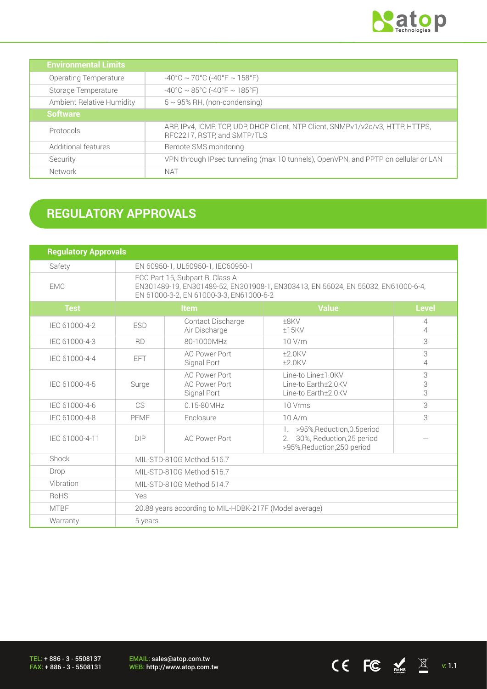

CE FC  $\underset{\text{meas}}{\blacktriangle}$   $\mathbb{X}$  v: 1.1

| <b>Environmental Limits</b> |                                                                                                                |
|-----------------------------|----------------------------------------------------------------------------------------------------------------|
| Operating Temperature       | $-40^{\circ}$ C ~ 70°C (-40°F ~ 158°F)                                                                         |
| Storage Temperature         | $-40^{\circ}$ C ~ 85°C (-40°F ~ 185°F)                                                                         |
| Ambient Relative Humidity   | $5 \sim 95\%$ RH, (non-condensing)                                                                             |
| <b>Software</b>             |                                                                                                                |
| Protocols                   | ARP, IPv4, ICMP, TCP, UDP, DHCP Client, NTP Client, SNMPv1/v2c/v3, HTTP, HTTPS,<br>RFC2217, RSTP, and SMTP/TLS |
| Additional features         | Remote SMS monitoring                                                                                          |
| Security                    | VPN through IPsec tunneling (max 10 tunnels), OpenVPN, and PPTP on cellular or LAN                             |
| Network                     | NAT                                                                                                            |

# **REGULATORY APPROVALS**

| <b>Regulatory Approvals</b> |                                                                                                                                                                |                                                             |                                                                                                  |              |
|-----------------------------|----------------------------------------------------------------------------------------------------------------------------------------------------------------|-------------------------------------------------------------|--------------------------------------------------------------------------------------------------|--------------|
| Safety                      | EN 60950-1, UL60950-1, IEC60950-1                                                                                                                              |                                                             |                                                                                                  |              |
| <b>EMC</b>                  | FCC Part 15, Subpart B, Class A<br>EN301489-19, EN301489-52, EN301908-1, EN303413, EN 55024, EN 55032, EN61000-6-4,<br>EN 61000-3-2, EN 61000-3-3, EN61000-6-2 |                                                             |                                                                                                  |              |
| <b>Test</b>                 |                                                                                                                                                                | Item                                                        | <b>Value</b>                                                                                     | <b>Level</b> |
| IEC 61000-4-2               | <b>ESD</b>                                                                                                                                                     | Contact Discharge<br>Air Discharge                          | ±8KV<br>±15KV                                                                                    | 4<br>4       |
| IEC 61000-4-3               | <b>RD</b>                                                                                                                                                      | 80-1000MHz                                                  | 10 V/m                                                                                           | 3            |
| IEC 61000-4-4               | EFT.                                                                                                                                                           | <b>AC Power Port</b><br>Signal Port                         | $±2.0$ KV<br>$±2.0$ KV                                                                           | 3<br>4       |
| IEC 61000-4-5               | Surge                                                                                                                                                          | <b>AC Power Port</b><br><b>AC Power Port</b><br>Signal Port | Line-to Line±1.0KV<br>Line-to Earth±2.0KV<br>Line-to Earth±2.0KV                                 | 3<br>3<br>3  |
| IEC 61000-4-6               | C <sub>S</sub>                                                                                                                                                 | 0.15-80MHz                                                  | 10 Vrms                                                                                          | 3            |
| IEC 61000-4-8               | PFMF                                                                                                                                                           | Enclosure                                                   | $10$ A/m                                                                                         | 3            |
| IEC 61000-4-11              | <b>DIP</b>                                                                                                                                                     | <b>AC Power Port</b>                                        | 1. >95%, Reduction, 0.5 period<br>30%, Reduction, 25 period<br>2.<br>>95%, Reduction, 250 period |              |
| Shock                       | MIL-STD-810G Method 516.7                                                                                                                                      |                                                             |                                                                                                  |              |
| Drop                        | MIL-STD-810G Method 516.7                                                                                                                                      |                                                             |                                                                                                  |              |
| Vibration                   | MIL-STD-810G Method 514.7                                                                                                                                      |                                                             |                                                                                                  |              |
| RoHS                        | Yes                                                                                                                                                            |                                                             |                                                                                                  |              |
| <b>MTBF</b>                 | 20.88 years according to MIL-HDBK-217F (Model average)                                                                                                         |                                                             |                                                                                                  |              |
| Warranty                    | 5 years                                                                                                                                                        |                                                             |                                                                                                  |              |

TEL: + 886 - 3 - 5508137 FAX: + 886 - 3 - 5508131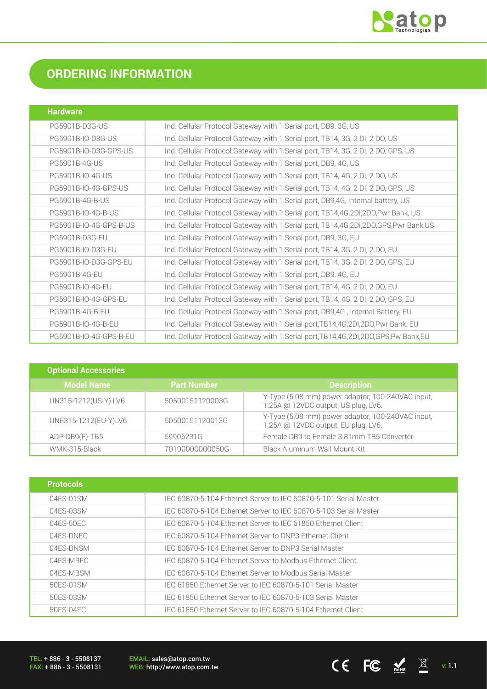

# **ORDERING INFORMATION**

| <b>Hardware</b>        |                                                                                         |
|------------------------|-----------------------------------------------------------------------------------------|
| PG5901B-D3G-US         | Ind. Cellular Protocol Gateway with 1 Serial port, DB9, 3G, US                          |
| PG5901B-IO-D3G-US      | Ind. Cellular Protocol Gateway with 1 Serial port, TB14, 3G, 2 DI, 2 DO, US             |
| PG5901B-IO-D3G-GPS-US  | Ind. Cellular Protocol Gateway with 1 Serial port, TB14, 3G, 2 DI, 2 DO, GPS, US        |
| <b>PG5901B-4G-US</b>   | Ind. Cellular Protocol Gateway with 1 Serial port, DB9, 4G, US                          |
| PG5901B-IO-4G-US       | Ind. Cellular Protocol Gateway with 1 Serial port, TB14, 4G, 2 DI, 2 DO, US             |
| PG5901B-IO-4G-GPS-US   | Ind. Cellular Protocol Gateway with 1 Serial port, TB14, 4G, 2 DI, 2 DO, GPS, US        |
| PG5901B-4G-B-US        | Ind. Cellular Protocol Gateway with 1 Serial port, DB9,4G, Internal battery, US         |
| PG5901B-IO-4G-B-US     | Ind. Cellular Protocol Gateway with 1 Serial port, TB14,4G,2DI,2DO,Pwr Bank, US         |
| PG5901B-IO-4G-GPS-B-US | Ind. Cellular Protocol Gateway with 1 Serial port, TB14,4G,2DI,2DO,GPS,Pwr Bank,US      |
| PG5901B-D3G-EU         | Ind. Cellular Protocol Gateway with 1 Serial port, DB9, 3G, EU                          |
| PG5901B-IO-D3G-EU      | Ind. Cellular Protocol Gateway with 1 Serial port, TB14, 3G, 2 DI, 2 DO, EU             |
| PG5901B-IO-D3G-GPS-EU  | Ind. Cellular Protocol Gateway with 1 Serial port, TB14, 3G, 2 DI, 2 DO, GPS, EU        |
| <b>PG5901B-4G-EU</b>   | Ind. Cellular Protocol Gateway with 1 Serial port, DB9, 4G, EU                          |
| PG5901B-IO-4G-EU       | Ind. Cellular Protocol Gateway with 1 Serial port, TB14, 4G, 2 DI, 2 DO, EU             |
| PG5901B-IO-4G-GPS-EU   | Ind. Cellular Protocol Gateway with 1 Serial port, TB14, 4G, 2 DI, 2 DO, GPS, EU        |
| PG5901B-4G-B-EU        | Ind. Cellular Protocol Gateway with 1 Serial port, DB9,4G, Internal Battery, EU         |
| PG5901B-IO-4G-B-EU     | Ind. Cellular Protocol Gateway with 1 Serial port, TB14, 4G, 2DI, 2DO, Pwr Bank, EU     |
| PG5901B-IO-4G-GPS-B-EU | Ind. Cellular Protocol Gateway with 1 Serial port, TB14, 4G, 2DI, 2DO, GPS, Pw Bank, EU |

| <b>Optional Accessories</b> |                    |                                                                                          |
|-----------------------------|--------------------|------------------------------------------------------------------------------------------|
| <b>Model Name</b>           | <b>Part Number</b> | <b>Description</b>                                                                       |
| UN315-1212(US-Y) LV6        | 50500151120003G    | Y-Type (5.08 mm) power adaptor, 100-240VAC input,<br>1.25A @ 12VDC output, US plug, LV6. |
| UNE315-1212(EU-Y)LV6        | 50500151120013G    | Y-Type (5.08 mm) power adaptor, 100-240VAC input,<br>1.25A @ 12VDC output, EU plug, LV6. |
| ADP-DB9(F)-TB5              | 59906231G          | Female DB9 to Female 3.81mm TB5 Converter                                                |
| WMK-315-Black               | 70100000000050G    | Black Aluminum Wall Mount Kit                                                            |

| <b>Protocols</b> |                                                                  |
|------------------|------------------------------------------------------------------|
| 04ES-01SM        | IEC 60870-5-104 Ethernet Server to IEC 60870-5-101 Serial Master |
| 04ES-03SM        | IEC 60870-5-104 Ethernet Server to IEC 60870-5-103 Serial Master |
| 04ES-50EC        | IEC 60870-5-104 Ethernet Server to IEC 61850 Ethernet Client     |
| 04ES-DNEC        | IEC 60870-5-104 Ethernet Server to DNP3 Ethernet Client          |
| 04FS-DNSM        | IEC 60870-5-104 Ethernet Server to DNP3 Serial Master            |
| 04ES-MBEC        | IEC 60870-5-104 Ethernet Server to Modbus Ethernet Client        |
| 04ES-MBSM        | IEC 60870-5-104 Ethernet Server to Modbus Serial Master          |
| 50ES-01SM        | IEC 61850 Ethernet Server to IEC 60870-5-101 Serial Master       |
| 50ES-03SM        | IEC 61850 Ethernet Server to IEC 60870-5-103 Serial Master       |
| 50ES-04EC        | IEC 61850 Ethernet Server to IEC 60870-5-104 Ethernet Client     |

TEL: + 886 - 3 - 5508137 FAX: + 886 - 3 - 5508131